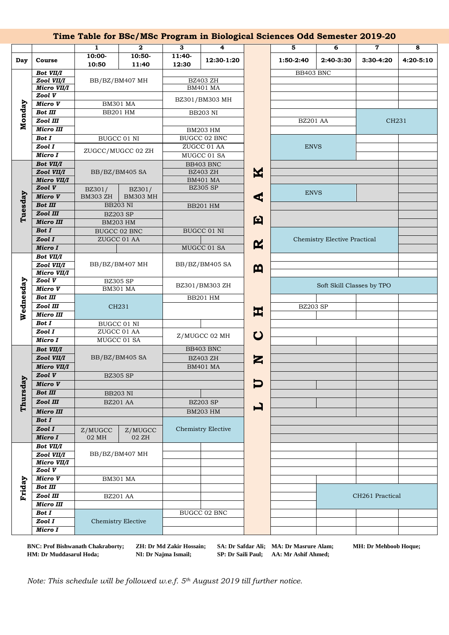|           |                                  |                                    | Time Table for BSc/MSc Program in Biological Sciences Odd Semester 2019-20 |                                    |                                    |              |                  |                              |           |           |
|-----------|----------------------------------|------------------------------------|----------------------------------------------------------------------------|------------------------------------|------------------------------------|--------------|------------------|------------------------------|-----------|-----------|
|           |                                  | 1                                  | $\mathbf{2}$                                                               | 3                                  | 4                                  |              | 5                | 6                            | 7         | 8         |
| Day       | Course                           | $10:00-$                           | $10:50-$                                                                   | 11:40-                             | 12:30-1:20                         |              | 1:50-2:40        | 2:40-3:30                    | 3:30-4:20 | 4:20-5:10 |
|           |                                  | 10:50                              | 11:40                                                                      | 12:30                              |                                    |              |                  |                              |           |           |
| Monday    | <b>Bot VII/I</b>                 |                                    |                                                                            |                                    |                                    |              | BB403 BNC        |                              |           |           |
|           | Zool VII/I<br><b>Micro VII/I</b> | BB/BZ/BM407 MH                     |                                                                            | <b>BZ403 ZH</b><br><b>BM401 MA</b> |                                    |              |                  |                              |           |           |
|           | Zool V                           |                                    |                                                                            |                                    |                                    |              |                  |                              |           |           |
|           | <b>Micro V</b>                   | <b>BM301 MA</b>                    |                                                                            | BZ301/BM303 MH                     |                                    |              |                  |                              |           |           |
|           | <b>Bot III</b>                   | <b>BB201 HM</b>                    |                                                                            | <b>BB203 NI</b>                    |                                    |              |                  |                              |           |           |
|           | Zool III                         |                                    |                                                                            |                                    |                                    |              | <b>BZ201 AA</b>  |                              | CH231     |           |
|           | <b>Micro III</b>                 |                                    |                                                                            | <b>BM203 HM</b>                    |                                    |              |                  |                              |           |           |
|           | <b>Bot I</b>                     | BUGCC 01 NI                        |                                                                            | <b>BUGCC 02 BNC</b>                |                                    |              |                  |                              |           |           |
|           | Zool I                           |                                    |                                                                            | ZUGCC 01 AA                        |                                    |              | <b>ENVS</b>      |                              |           |           |
|           | <b>Micro I</b>                   | ZUGCC/MUGCC 02 ZH                  |                                                                            | MUGCC 01 SA                        |                                    |              |                  |                              |           |           |
|           | Bot VII/I                        | BB/BZ/BM405 SA                     |                                                                            |                                    | BB403 BNC                          |              |                  |                              |           |           |
|           | Zool VII/I                       |                                    |                                                                            | <b>BZ403 ZH</b>                    |                                    | K            |                  |                              |           |           |
|           | <b>Micro VII/I</b><br>Zool V     |                                    |                                                                            |                                    | <b>BM401 MA</b><br><b>BZ305 SP</b> |              |                  |                              |           |           |
|           | Micro V                          | BZ301/<br><b>BM303 ZH</b>          | BZ301/<br><b>BM303 MH</b>                                                  |                                    |                                    |              | <b>ENVS</b><br>⋖ |                              |           |           |
| Tuesday   | <b>Bot III</b>                   |                                    |                                                                            |                                    |                                    |              |                  |                              |           |           |
|           | Zool III                         | <b>BB203 NI</b>                    |                                                                            |                                    | <b>BB201 HM</b>                    |              |                  |                              |           |           |
|           | <b>Micro III</b>                 | <b>BZ203 SP</b><br><b>BM203 HM</b> |                                                                            |                                    |                                    | 臼            |                  |                              |           |           |
|           | <b>Bot I</b>                     | <b>BUGCC 02 BNC</b>                |                                                                            |                                    | <b>BUGCC 01 NI</b>                 |              |                  |                              |           |           |
|           | Zool I                           |                                    | ZUGCC 01 AA                                                                |                                    |                                    |              |                  | Chemistry Elective Practical |           |           |
|           | Micro I                          |                                    |                                                                            | MUGCC 01 SA                        |                                    | $\mathbf{R}$ |                  |                              |           |           |
|           | Bot VII/I                        |                                    |                                                                            |                                    |                                    |              |                  |                              |           |           |
| Wednesday | Zool VII/I                       | BB/BZ/BM407 MH                     |                                                                            | BB/BZ/BM405 SA                     |                                    | $\mathbf{m}$ |                  |                              |           |           |
|           | Micro VII/I                      |                                    |                                                                            |                                    |                                    |              |                  |                              |           |           |
|           | Zool V                           | <b>BZ305 SP</b>                    |                                                                            | BZ301/BM303 ZH                     |                                    |              |                  | Soft Skill Classes by TPO    |           |           |
|           | <b>Micro V</b>                   | <b>BM301 MA</b>                    |                                                                            |                                    |                                    |              |                  |                              |           |           |
|           | <b>Bot III</b>                   | CH231                              |                                                                            |                                    | <b>BB201 HM</b>                    |              |                  |                              |           |           |
|           | Zool III<br><b>Micro III</b>     |                                    |                                                                            |                                    |                                    | 보            | <b>BZ203 SP</b>  |                              |           |           |
|           | <b>Bot I</b>                     |                                    |                                                                            |                                    |                                    |              |                  |                              |           |           |
|           | ZoolI                            | BUGCC 01 NI<br>ZUGCC 01 AA         |                                                                            | Z/MUGCC 02 MH                      |                                    |              |                  |                              |           |           |
|           | Micro I                          | MUGCC 01 SA                        |                                                                            |                                    |                                    | $\mathbf C$  |                  |                              |           |           |
|           | Bot VII/I                        | BB/BZ/BM405 SA                     |                                                                            |                                    | BB403 BNC                          |              |                  |                              |           |           |
|           | Zool VII/I                       |                                    |                                                                            | <b>BZ403 ZH</b>                    |                                    |              |                  |                              |           |           |
|           | Micro VII/I                      |                                    |                                                                            |                                    | <b>BM401 MA</b>                    | Z            |                  |                              |           |           |
|           | Zool V                           | <b>BZ305 SP</b>                    |                                                                            |                                    |                                    |              |                  |                              |           |           |
|           | Micro V                          |                                    |                                                                            |                                    |                                    |              |                  |                              |           |           |
|           | <b>Bot III</b>                   | <b>BB203 NI</b>                    |                                                                            |                                    |                                    |              |                  |                              |           |           |
| Thursday  | Zool III                         | <b>BZ201 AA</b>                    |                                                                            |                                    | <b>BZ203 SP</b>                    |              |                  |                              |           |           |
|           | <b>Micro III</b>                 |                                    |                                                                            | <b>BM203 HM</b>                    |                                    | ゴ            |                  |                              |           |           |
|           | <b>Bot I</b>                     |                                    |                                                                            |                                    |                                    |              |                  |                              |           |           |
|           | Zool I                           | Z/MUGCC                            | Z/MUGCC                                                                    |                                    | Chemistry Elective                 |              |                  |                              |           |           |
|           | Micro I                          | 02 MH                              | 02 ZH                                                                      |                                    |                                    |              |                  |                              |           |           |
|           | <b>Bot VII/I</b>                 | BB/BZ/BM407 MH                     |                                                                            |                                    |                                    |              |                  |                              |           |           |
|           | Zool VII/I                       |                                    |                                                                            |                                    |                                    |              |                  |                              |           |           |
|           | <b>Micro VII/I</b>               |                                    |                                                                            |                                    |                                    |              |                  |                              |           |           |
|           | Zool V                           |                                    |                                                                            |                                    |                                    |              |                  |                              |           |           |
| Friday    | Micro V                          | <b>BM301 MA</b>                    |                                                                            |                                    |                                    |              |                  |                              |           |           |
|           | <b>Bot III</b>                   |                                    |                                                                            |                                    |                                    |              | CH261 Practical  |                              |           |           |
|           | Zool III                         | <b>BZ201 AA</b>                    |                                                                            |                                    |                                    |              |                  |                              |           |           |
|           | <b>Micro III</b><br><b>Bot I</b> | Chemistry Elective                 |                                                                            |                                    | <b>BUGCC 02 BNC</b>                |              |                  |                              |           |           |
|           | Zool I                           |                                    |                                                                            |                                    |                                    |              |                  |                              |           |           |
|           | Micro I                          |                                    |                                                                            |                                    |                                    |              |                  |                              |           |           |
|           |                                  |                                    |                                                                            |                                    |                                    |              |                  |                              |           |           |

**HM: Dr Muddasarul Hoda; NI: Dr Najma Ismail; SP: Dr Saili Paul; AA: Mr Ashif Ahmed;**

**BNC: Prof Bishwanath Chakraborty; ZH: Dr Md Zakir Hossain; SA: Dr Safdar Ali; MA: Dr Masrure Alam; MH: Dr Mehboob Hoque;** 

*Note: This schedule will be followed w.e.f. 5th August 2019 till further notice.*